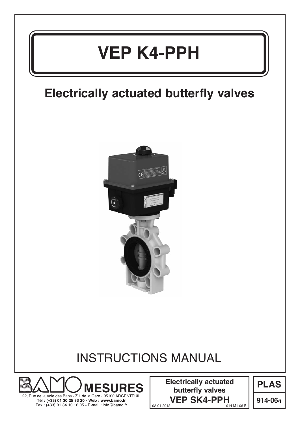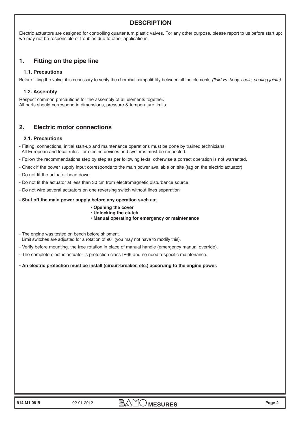# **DESCRIPTION**

Electric actuators are designed for controlling quarter turn plastic valves. For any other purpose, please report to us before start up; we may not be responsible of troubles due to other applications.

# **1. Fitting on the pipe line**

### **1.1. Precautions**

Before fitting the valve, it is necessary to verify the chemical compatibility between all the elements (fluid vs. body, seals, seating joints).

#### **1.2. Assembly**

Respect common precautions for the assembly of all elements together. All parts should correspond in dimensions, pressure & temperature limits.

## **2. Electric motor connections**

#### **2.1. Precautions**

- Fitting, connections, initial start-up and maintenance operations must be done by trained technicians. All European and local rules for electric devices and systems must be respected.
- Follow the recommendations step by step as per following texts, otherwise a correct operation is not warranted.
- Check if the power supply input corresponds to the main power available on site (tag on the electric actuator)
- Do not fit the actuator head down.
- Do not fit the actuator at less than 30 cm from electromagnetic disturbance source.
- Do not wire several actuators on one reversing switch without lines separation

#### **- Shut off the main power supply before any operation such as:**

- **Opening the cover**
- **Unlocking the clutch**
- **Manual operating for emergency or maintenance**
- The engine was tested on bench before shipment. Limit switches are adjusted for a rotation of 90° (you may not have to modify this).
- Verify before mounting, the free rotation in place of manual handle (emergency manual override).
- The complete electric actuator is protection class IP65 and no need a specific maintenance.

#### **- An electric protection must be install (circuit-breaker, etc.) according to the engine power.**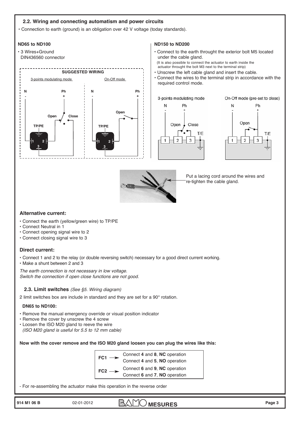## **2.2. Wiring and connecting automatism and power circuits**

**•** Connection to earth (ground) is an obligation over 42 V voltage (today standards).

#### **ND65 to ND100**

**•** 3 Wires+Ground DIN436560 connector



#### **ND150 to ND200**

- **•** Connect to the earth throught the exterior bolt M5 located under the cable gland. (It is also possible to connect the actuator to earth inside the actuator throught the bolt M3 next to the terminal strip)
- **•** Unscrew the left cable gland and insert the cable.
- **•** Connect the wires to the terminal strip in accordance with the required control mode.







Put a lacing cord around the wires and re-tighten the cable gland.

## **Alternative current:**

- Connect the earth (yellow/green wire) to TP/PE
- Connect Neutral in 1
- Connect opening signal wire to 2
- Connect closing signal wire to 3

#### **Direct current:**

- Connect 1 and 2 to the relay (or double reversing switch) necessary for a good direct current working.
- Make a shunt between 2 and 3

The earth connection is not necessary in low voltage. Switch the connection if open close functions are not good.

#### **2.3. Limit switches** (See §5. Wiring diagram)

2 limit switches box are include in standard and they are set for a 90° rotation.

#### **DN65 to ND100:**

- **•** Remove the manual emergency override or visual position indicator
- **•** Remove the cover by unscrew the 4 screw
- **•** Loosen the ISO M20 gland to reeve the wire (ISO M20 gland is useful for 5.5 to 12 mm cable)

**Now with the cover remove and the ISO M20 gland loosen you can plug the wires like this:**

| FC1             | Connect 4 and 8, NC operation |
|-----------------|-------------------------------|
|                 | Connect 4 and 5, NO operation |
| FC <sub>2</sub> | Connect 6 and 9, NC operation |
|                 | Connect 6 and 7, NO operation |

- For re-assembling the actuator make this operation in the reverse order

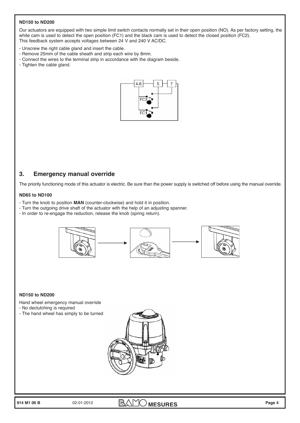#### **ND150 to ND200**

Our actuators are equipped with two simple limit switch contacts normally set in their open position (NO). As per factory setting, the white cam is used to detect the open position (FC1) and the black cam is used to detect the closed position (FC2). This feedback system accepts voltages between 24 V and 240 V AC/DC.

- Unscrew the right cable gland and insert the cable.
- Remove 25mm of the cable sheath and strip each wire by 8mm.
- Connect the wires to the terminal strip in accordance with the diagram beside.
- Tighten the cable gland.



## **3. Emergency manual override**

The priority functioning mode of this actuator is electric. Be sure than the power supply is switched off before using the manual override.

#### **ND65 to ND100**

- Turn the knob to position **MAN** (counter-clockwise) and hold it in position.
- Turn the outgoing drive shaft of the actuator with the help of an adjusting spanner.
- In order to re-engage the reduction, release the knob (spring return).



#### **ND150 to ND200**

Hand wheel emergency manual override

- No declutching is required
- The hand wheel has simply to be turned

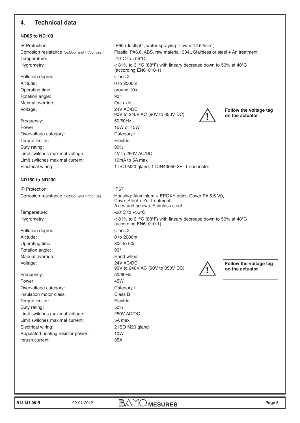# **4. Technical data**

## **ND65 to ND100**

Temperature:  $-10^{\circ}$ C to  $+55^{\circ}$ C Pollution degree: Class 2 Altitude: 0 to 2000m Operating time: around 10s Rotation angle: 90° Manual override: Out axle Voltage: 24V AC/DC Frequency: 50/60Hz Power: 15W or 45W Overvoltage category: Category II Torque limiter: Electric Duty rating: 30% Limit switches maximal voltage: 4V to 250V AC/DC Limit switches maximal current: 10mA to 5A max Electrical wiring: 1 ISO M20 gland, 1 DIN43650 3P+T connector

#### **ND150 to ND200**

IP Protection: IP67 Temperature:  $-20^{\circ}$ C to  $+55^{\circ}$ C Pollution degree: Class 2 Altitude: 0 to 2000m Operating time: 30s to 60s Rotation angle: 90° Manual override: Nanch Wanual override: Voltage: 24V AC/DC Frequency: 50/60Hz Power: 45W Overvoltage category: Category II Insulation motor class: Class B Torque limiter: Electric

Duty rating: 50% Limit switches maximal voltage: 250V AC/DC Limit switches maximal current: 5A max Electrical wiring: 2 ISO M20 gland Regulated heating resistor power: 10W Inrush current: 35A

IP Protection: IP65 (dusttight, water spraying ''flow < 12.5l/min'') Corrosion resistance (outdoor and indoor use): Plastic: PA6.6, ABS, raw material: 304L Stainless or steel + An treatment Hygrometry : < 81% to 31°C (88°F) with lineary decrease down to 50% at 40°C (according EN61010-1) 90V to 240V AC (90V to 350V DC) **Follow the voltage tag on the actuator !**

Corrosion resistance (outdoor and indoor use): Housing: Aluminium + EPOXY paint, Cover PA 6.6 V0, Drive: Steel + Zn Treatment, Axles and screws: Stainless steel Hygrometry :  $\leq 81\%$  to 31°C (88°F) with lineary decrease down to 50% at 40°C (according EN61010-1) 90V to 240V AC (90V to 350V DC)

**Follow the voltage tag on the actuator !**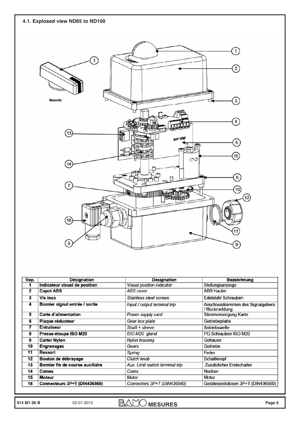

| Rep. | <b>Désignation</b>               | <b>Designation</b>               | <b>Bezeichnung</b>                                 |
|------|----------------------------------|----------------------------------|----------------------------------------------------|
| 1    | Indicateur visuel de position    | <b>Visual position indicator</b> | Stellungsanzeige                                   |
| 2    | <b>Capot ABS</b>                 | <b>ABS</b> cover                 | <b>ABS Haube</b>                                   |
| 3    | Vis inox                         | Stainless steel screws           | Edelstahl Schrauben                                |
| 4    | Bornier signal entrée / sortie   | Input / output terminal trip     | Anschlussklemmen des Signalgebers<br>/ Rückmeldung |
| 5    | <b>Carte d'alimentation</b>      | Power supply card                | Stromversorgung Karte                              |
| 6    | Plaque réducteur                 | Gear box plate                   | Getriebeplatte                                     |
| 7    | <b>Entraîneur</b>                | Shaft + sleeve                   | Antriebswelle                                      |
| 8    | Presse-étoupe ISO M20            | ISO M20 gland                    | PG Schrauben ISO M20                               |
| 9    | <b>Carter Nylon</b>              | Nylon housing                    | Gehäuse                                            |
| 10   | <b>Engrenages</b>                | Gears                            | Getriebe                                           |
| 11   | Ressort                          | Spring                           | Feder                                              |
| 12   | Bouton de débrayage              | Clutch knob                      | Schaltknopf                                        |
| 13   | Bornier fin de course auxiliaire | Aux. Limit switch terminal trip  | Zusätzlicher Endschalter                           |
| 14   | <b>Cames</b>                     | Cams                             | Nocken                                             |
| 15   | <b>Moteur</b>                    | Motor                            | <b>Motor</b>                                       |
| 16   | Connecteurs 3P+T (DIN436560)     | Connectors 3P+T (DIN436560)      | Gerätesteckdosen 3P+T (DIN436560)                  |

**914 M1 06 B** 02-01-2012 **BAMO MESURES** Page 6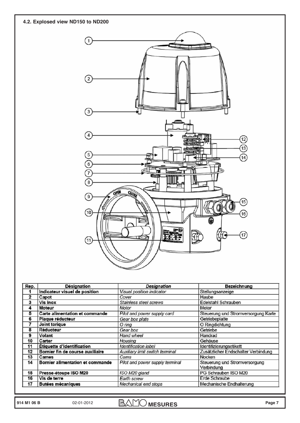

| $\cdots$                         | olumnooo oloof ooro wo          | саскат оставост                             |
|----------------------------------|---------------------------------|---------------------------------------------|
| <b>Moteur</b>                    | Motor                           | Motor                                       |
| Carte alimentation et commande   | Pilot and power supply card     | Steuerung und Stromversorgung Karte         |
| Plaque réducteur                 | Gear box plate                  | Getriebeplatte                              |
| Joint torique                    | O rina                          | O Ringdichtung                              |
| Réducteur                        | Gear box                        | Getriebe                                    |
| Volant                           | Hand wheel                      | Handrad                                     |
| Carter                           | Housing                         | Gehäuse                                     |
| Étiquette d'identification       | <b>Identification label</b>     | Identifizierungsetikett                     |
| Bornier fin de course auxiliaire | Auxiliary limit switch terminal | Zusätzlicher Endschalter Verbindung         |
| Cames                            | Cams                            | Nocken                                      |
| Bornier alimentation et commande | Pilot and power supply terminal | Steuerung und Stromversorgung<br>Verbindung |
| Presse-étoupe ISO M20            | ISO M20 gland                   | PG Schrauben ISO M20                        |
| Vis de terre                     | Earth screw                     | Erde Schraube                               |
| <b>Butées mécaniques</b>         | Mechanical end stops            | Mechanische Endhalterung                    |
|                                  |                                 |                                             |

**914 M1 06 B** 02-01-2012 **BAMO** MESURES Page 7